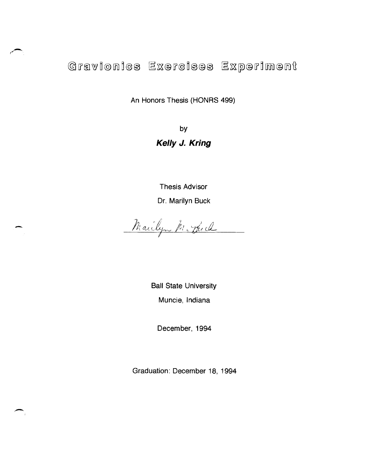Gravionics Exercises Experiment

An Honors Thesis (HONRS 499)

by **Kelly J. Kring** 

Thesis Advisor Dr. Marilyn Buck

Mailyn Mc Duch

-

-

Ball State University Muncie, Indiana

December, 1994

Graduation: December 18,1994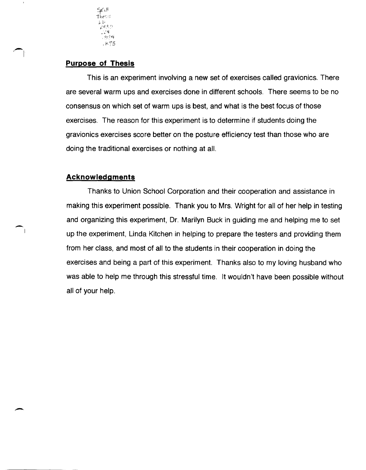

# **Purpose of Thesis**

This is an experiment involving a new set of exercises called gravionics. There are several warm ups and exercises done in different schools. There seems to be no consensus on which set of warm ups is best, and what is the best focus of those exercises. The reason for this experiment is to determine if students doing the gravionics exercises score better on the posture efficiency test than those who are doing the traditional exercises or nothing at all.

## **Acknowledgments**

 $\blacksquare$ 

Thanks to Union School Corporation and their cooperation and assistance in making this experiment possible. Thank you to Mrs. Wright for all of her help in testing and organizing this experiment, Dr. Marilyn Buck in guiding me and helping me to set up the experiment, Linda Kitchen in helping to prepare the testers and providing them from her class, and most of all to the students in their cooperation in doing the exercises and being a part of this experiment. Thanks also to my loving husband who was able to help me through this stressful time. It wouldn't have been possible without all of your help.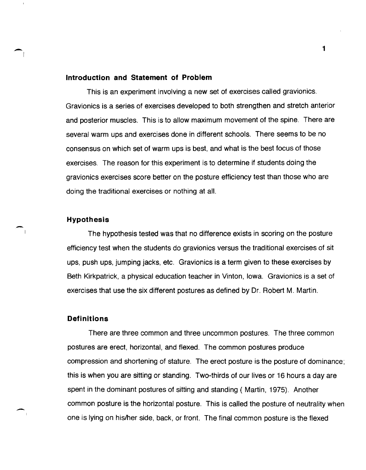#### **Introduction and Statement of Problem**

This is an experiment involving a new set of exercises called gravionics. Gravionics is a series of exercises developed to both strengthen and stretch anterior and posterior muscles. This is to allow maximum movement of the spine. There are several warm ups and exercises done in different schools. There seems to be no consensus on which set of warm ups is best, and what is the best focus of those exercises. The reason for this experiment is to determine if students doing the gravionics exercises score better on the posture efficiency test than those who are doing the traditional exercises or nothing at all.

#### **Hypothesis**

 $\overline{\phantom{a}}$ 

-

The hypothesis tested was that no difference exists in scoring on the posture efficiency test when the students do gravionics versus the traditional exercises of sit ups, push ups, jumping jacks, etc. Gravionics is a term given to these exercises by Beth Kirkpatrick, a physical education teacher in Vinton, Iowa. Gravionics is a set of exercises that use the six different postures as defined by Dr. Robert M. Martin.

## **Definitions**

There are three common and three uncommon postures. The three common postures are erect, horizontal, and flexed. The common postures produce compression and shortening of stature. The erect posture is the posture of dominance; this is when you are sitting or standing. Two-thirds of our lives or 16 hours a day are spent in the dominant postures of sitting and standing ( Martin, 1975). Another common posture is the horizontal posture. This is called the posture of neutrality when one is lying on hislher side, back, or front. The final common posture is the flexed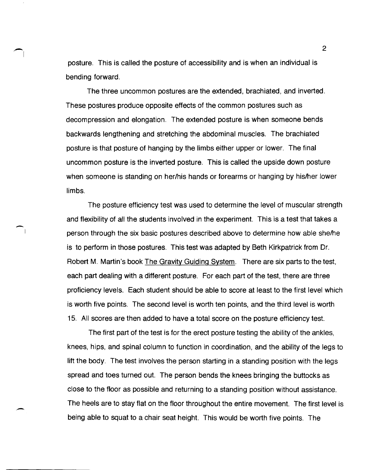posture. This is called the posture of accessibility and is when an individual is bending forward.

 $\bigcap$ 

-

The three uncommon postures are the extended, brachiated, and inverted. These postures produce opposite effects of the common postures such as decompression and elongation. The extended posture is when someone bends backwards lengthening and stretching the abdominal muscles. The brachiated posture is that posture of hanging by the limbs either upper or lower. The final uncommon posture is the inverted posture. This is called the upside down posture when someone is standing on her/his hands or forearms or hanging by his/her lower limbs.

The posture efficiency test was used to determine the level of muscular strength and flexibility of all the students involved in the experiment. This is a test that takes a person through the six basic postures described above to determine how able she/he is to perform in those postures. This test was adapted by Beth Kirkpatrick from Dr. Robert M. Martin's book The Gravity Guiding System. There are six parts to the test, each part dealing with a different posture. For each part of the test, there are three proficiency levels. Each student should be able to score at least to the first level which is worth five points. The second level is worth ten points, and the third level is worth 15. All scores are then added to have a total score on the posture efficiency test.

The first part of the test is for the erect posture testing the ability of the ankles, knees, hips, and spinal column to function in coordination, and the ability of the legs to lift the body. The test involves the person starting in a standing position with the legs spread and toes turned out. The person bends the knees bringing the buttocks as close to the floor as possible and returning to a standing position without assistance. The heels are to stay flat on the floor throughout the entire movement. The first level is being able to squat to a chair seat height. This would be worth five points. The

 $\mathfrak{D}$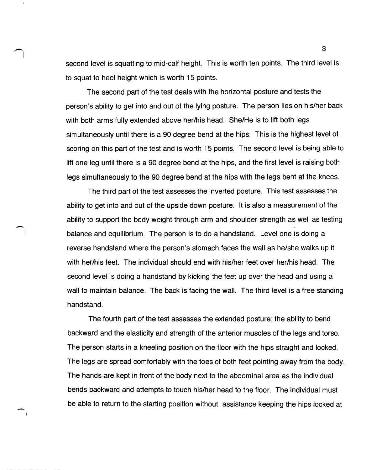second level is squatting to mid-calf height. This is worth ten points. The third level is to squat to heel height which is worth 15 points.

The second part of the test deals with the horizontal posture and tests the person's ability to get into and out of the lying posture. The person lies on hislher back with both arms fully extended above her/his head. She/He is to lift both legs simultaneously until there is a 90 degree bend at the hips. This is the highest level of scoring on this part of the test and is worth 15 points. The second level is being able to lift one leg until there is a 90 degree bend at the hips, and the first level is raising both legs simultaneously to the 90 degree bend at the hips with the legs bent at the knees.

The third part of the test assesses the inverted posture. This test assesses the ability to get into and out of the upside down posture. It is also a measurement of the ability to support the body weight through arm and shoulder strength as well as testing balance and equilibrium. The person is to do a handstand. Level one is doing a reverse handstand where the person's stomach faces the wall as he/she walks up it with her/his feet. The individual should end with his/her feet over her/his head. The second level is doing a handstand by kicking the feet up over the head and using a wall to maintain balance. The back is facing the wall. The third level is a free standing handstand.

 $\overline{\phantom{a}}$ 

-

The fourth part of the test assesses the extended posture; the ability to bend backward and the elasticity and strength of the anterior muscles of the legs and torso. The person starts in a kneeling position on the floor with the hips straight and locked. The legs are spread comfortably with the toes of both feet pointing away from the body. The hands are kept in front of the body next to the abdominal area as the individual bends backward and attempts to touch hislher head to the floor. The individual must be able to return to the starting position without assistance keeping the hips locked at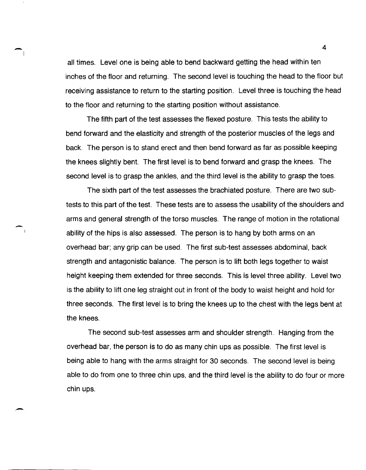all times. Level one is being able to bend backward getting the head within ten inches of the floor and returning. The second level is touching the head to the floor but receiving assistance to return to the starting position. Level three is touching the head to the floor and returning to the starting position without assistance.

 $\overline{\phantom{a}}$ 

-

. -

The fifth part of the test assesses the flexed posture. This tests the ability to bend forward and the elasticity and strength of the posterior muscles of the legs and back. The person is to stand erect and then bend forward as far as possible keeping the knees slightly bent. The first level is to bend forward and grasp the knees. The second level is to grasp the ankles, and the third level is the ability to grasp the toes.

The sixth part of the test assesses the brachiated posture. There are two subtests to this part of the test. These tests are to assess the usability of the shoulders and arms and general strength of the torso muscles. The range of motion in the rotational ability of the hips is also assessed. The person is to hang by both arms on an overhead bar; any grip can be used. The first SUb-test assesses abdominal, back strength and antagonistic balance. The person is to lift both legs together to waist height keeping them extended for three seconds. This is level three ability. Level two is the ability to lift one leg straight out in front of the body to waist height and hold for three seconds. The first level is to bring the knees up to the chest with the legs bent at the knees.

The second SUb-test assesses arm and shoulder strength. Hanging from the overhead bar, the person is to do as many chin ups as possible. The first level is being able to hang with the arms straight for 30 seconds. The second level is being able to do from one to three chin ups, and the third level is the ability to do four or more chin ups.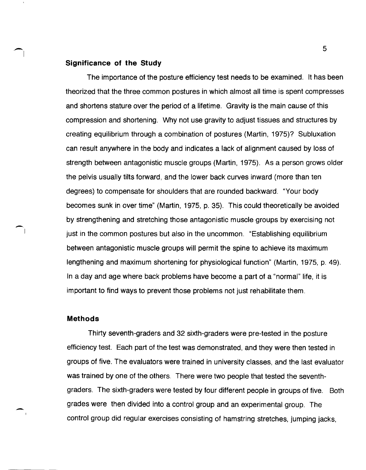#### **Significance of the Study**

The importance of the posture efficiency test needs to be examined. It has been theorized that the three common postures in which almost all time is spent compresses and shortens stature over the period of a lifetime. Gravity is the main cause of this compression and shortening. Why not use gravity to adjust tissues and structures by creating equilibrium through a combination of postures (Martin, 1975)? Subluxation can result anywhere in the body and indicates a lack of alignment caused by loss of strength between antagonistic muscle groups (Martin, 1975). As a person grows older the pelvis usually tilts forward, and the lower back curves inward (more than ten degrees) to compensate for shoulders that are rounded backward. "Your body becomes sunk in over time" (Martin, 1975, p. 35). This could theoretically be avoided by strengthening and stretching those antagonistic muscle groups by exercising not just in the common postures but also in the uncommon. "Establishing equilibrium between antagonistic muscle groups will permit the spine to achieve its maximum lengthening and maximum shortening for physiological function" (Martin, 1975, p. 49). In a day and age where back problems have become a part of a "normal" life, it is important to find ways to prevent those problems not just rehabilitate them.

#### **Methods**

 $\bigcap$ 

-

Thirty seventh-graders and 32 sixth-graders were pre-tested in the posture efficiency test. Each part of the test was demonstrated, and they were then tested in groups of five. The evaluators were trained in university classes, and the last evaluator was trained by one of the others. There were two people that tested the seventhgraders. The sixth-graders were tested by four different people in groups of five. Both grades were then divided into a control group and an experimental group. The control group did regular exercises consisting of hamstring stretches, jumping jacks,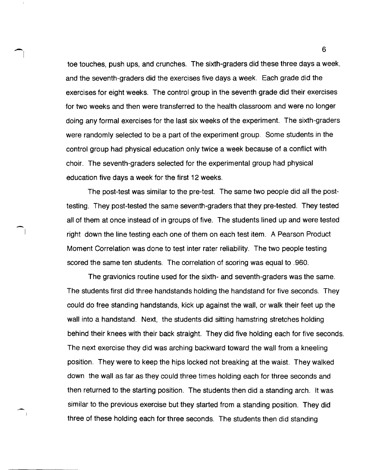toe touches, push ups, and crunches. The sixth-graders did these three days a week, and the seventh-graders did the exercises five days a week. Each grade did the exercises for eight weeks. The control group in the seventh grade did their exercises for two weeks and then were transferred to the health classroom and were no longer doing any formal exercises for the last six weeks of the experiment. The sixth-graders were randomly selected to be a part of the experiment group. Some students in the control group had physical education only twice a week because of a conflict with choir. The seventh-graders selected for the experimental group had physical education five days a week for the first 12 weeks.

The post-test was similar to the pre-test. The same two people did all the posttesting. They post-tested the same seventh-graders that they pre-tested. They tested all of them at once instead of in groups of five. The students lined up and were tested right down the line testing each one of them on each test item. A Pearson Product Moment Correlation was done to test inter rater reliability. The two people testing scored the same ten students. The correlation of scoring was equal to .960.

The gravionics routine used for the sixth- and seventh-graders was the same. The students first did three handstands holding the handstand for five seconds. They could do free standing handstands, kick up against the wall, or walk their feet up the wall into a handstand. Next, the students did sitting hamstring stretches holding behind their knees with their back straight. They did five holding each for five seconds. The next exercise they did was arching backward toward the wall from a kneeling position. They were to keep the hips locked not breaking at the waist. They walked down the wall as far as they could three times holding each for three seconds and then returned to the starting position. The students then did a standing arch. It was similar to the previous exercise but they started from a standing position. They did three of these holding each for three seconds. The students then did standing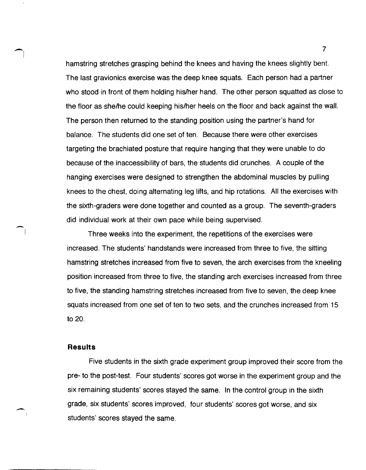hamstring stretches grasping behind the knees and having the knees slightly bent. The last gravionics exercise was the deep knee squats. Each person had a partner who stood in front of them holding his/her hand. The other person squatted as close to the floor as shelhe could keeping hislher heels on the floor and back against the wall. The person then returned to the standing position using the partner's hand for balance. The students did one set of ten. Because there were other exercises targeting the brachiated posture that require hanging that they were unable to do because of the inaccessibility of bars, the students did crunches. A couple of the hanging exercises were designed to strengthen the abdominal muscles by pulling knees to the chest, doing alternating leg lifts, and hip rotations. All the exercises with the sixth-graders were done together and counted as a group. The seventh-graders did individual work at their own pace while being supervised.

Three weeks into the experiment, the repetitions of the exercises were increased. The students' handstands were increased from three to five, the sitting hamstring stretches increased from five to seven, the arch exercises from the kneeling position increased from three to five, the standing arch exercises increased from three to five, the standing hamstring stretches increased from five to seven, the deep knee squats increased from one set of ten to two sets, and the crunches increased from 15 to 20.

#### **Results**

 $\bigcap$ 

 $\overline{\phantom{1}}$ 

Five students in the sixth grade experiment group improved their score from the pre- to the post-test. Four students' scores got worse in the experiment group and the six remaining students' scores stayed the same. In the control group in the sixth grade, six students' scores improved, four students' scores got worse, and six students' scores stayed the same.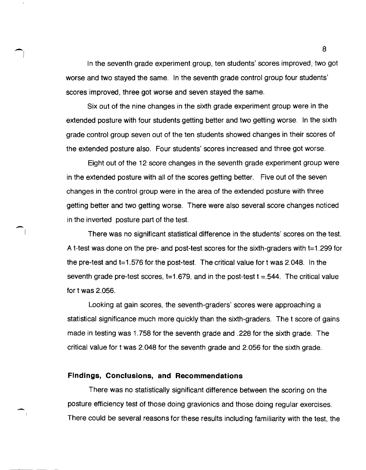In the seventh grade experiment group, ten students' scores improved, two got worse and two stayed the same. In the seventh grade control group four students' scores improved, three got worse and seven stayed the same.

Six out of the nine changes in the sixth grade experiment group were in the extended posture with four students getting better and two getting worse. In the sixth grade control group seven out of the ten students showed changes in their scores of the extended posture also. Four students' scores increased and three got worse.

Eight out of the 12 score changes in the seventh grade experiment group were in the extended posture with all of the scores getting better. Five out of the seven changes in the control group were in the area of the extended posture with three getting better and two getting worse. There were also several score changes noticed in the inverted posture part of the test.

There was no significant statistical difference in the students' scores on the test. A t-test was done on the pre- and post-test scores for the sixth-graders with t=1.299 for the pre-test and  $t=1.576$  for the post-test. The critical value for t was 2.048. In the seventh grade pre-test scores,  $t=1.679$ , and in the post-test  $t = .544$ . The critical value for twas 2.056.

Looking at gain scores, the seventh-graders' scores were approaching a statistical significance much more quickly than the sixth-graders. The t score of gains made in testing was 1.758 for the seventh grade and .228 for the sixth grade. The critical value for twas 2.048 for the seventh grade and 2.056 for the sixth grade.

## **Findings, Conclusions, and Recommendations**

 $\overline{\phantom{a}}$ 

There was no statistically significant difference between the scoring on the posture efficiency test of those doing gravionics and those doing regular exercises. There could be several reasons for these results including familiarity with the test, the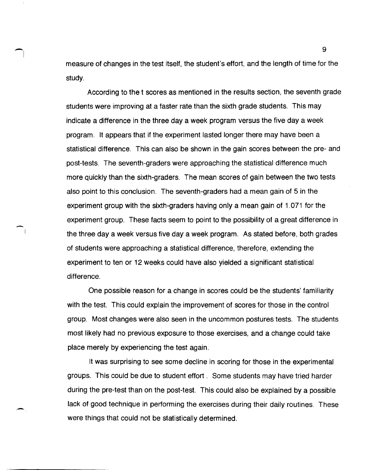measure of changes in the test itself, the student's effort, and the length of time for the study.

-I

-

According to the t scores as mentioned in the results section, the seventh grade students were improving at a faster rate than the sixth grade students. This may indicate a difference in the three day a week program versus the five day a week program. It appears that if the experiment lasted longer there may have been a statistical difference. This can also be shown in the gain scores between the pre- and post-tests. The seventh-graders were approaching the statistical difference much more quickly than the sixth-graders. The mean scores of gain between the two tests also point to this conclusion. The seventh-graders had a mean gain of 5 in the experiment group with the sixth-graders having only a mean gain of 1.071 for the experiment group. These facts seem to point to the possibility of a great difference in the three day a week versus five day a week program. As stated before, both grades of students were approaching a statistical difference, therefore, extending the experiment to ten or 12 weeks could have also yielded a significant statistical difference.

One possible reason for a change in scores could be the students' familiarity with the test. This could explain the improvement of scores for those in the control group. Most changes were also seen in the uncommon postures tests. The students most likely had no previous exposure to those exercises, and a change could take place merely by experiencing the test again.

It was surprising to see some decline in scoring for those in the experimental groups. This could be due to student effort. Some students may have tried harder during the pre-test than on the post-test. This could also be explained by a possible lack of good technique in performing the exercises during their daily routines. These were things that could not be statistically determined.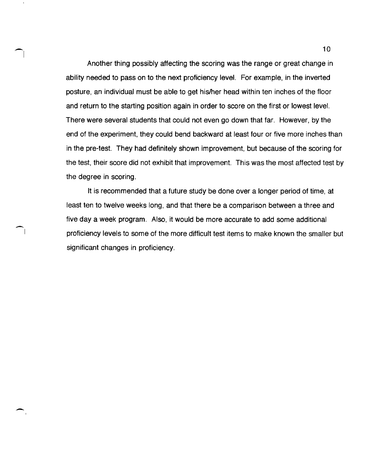Another thing possibly affecting the scoring was the range or great change in ability needed to pass on to the next proficiency level. For example, in the inverted posture, an individual must be able to get his/her head within ten inches of the floor and return to the starting position again in order to score on the first or lowest level. There were several students that could not even go down that far. However, by the end of the experiment, they could bend backward at least four or five more inches than in the pre-test. They had definitely shown improvement, but because of the scoring for the test, their score did not exhibit that improvement. This was the most affected test by the degree in scoring.

-I

-

I

-

It is recommended that a future study be done over a longer period of time, at least ten to twelve weeks long, and that there be a comparison between a three and five day a week program. Also, it would be more accurate to add some additional proficiency levels to some of the more difficult test items to make known the smaller but significant changes in proficiency.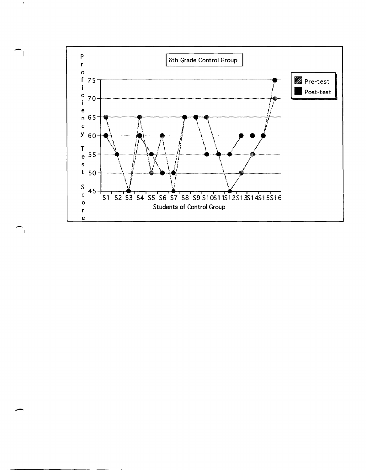

 $\mathbf{I}$ 

 $\overline{\phantom{1}}$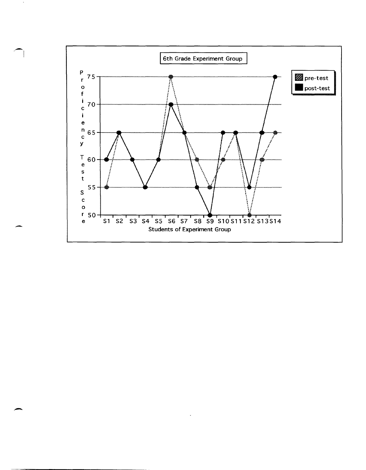

-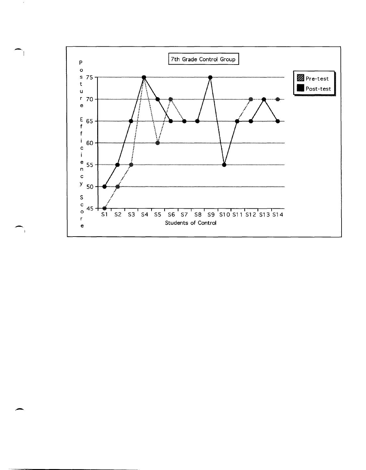

-"

 $\overline{\phantom{1}}$ 

 $\rightarrow$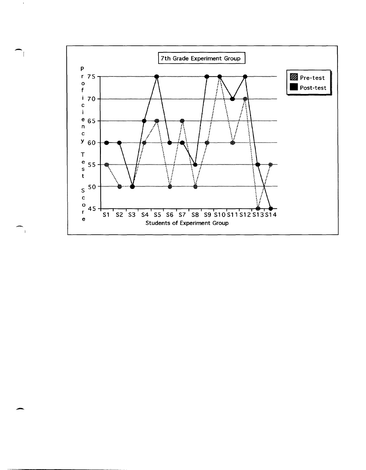

-I

 $\overline{\phantom{0}}$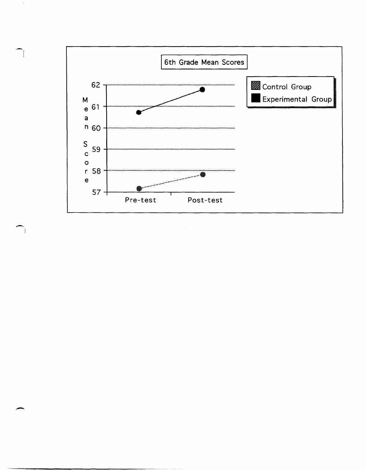

 $\overline{\phantom{a}}$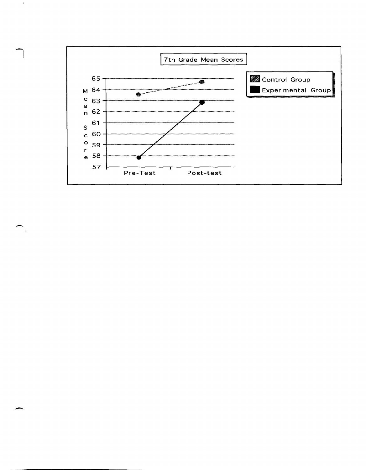

-

 $\sim$   $\,$